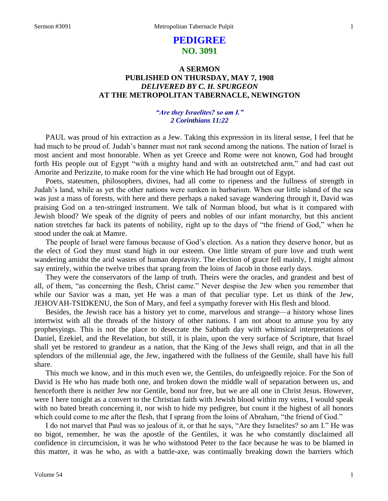# **PEDIGREE NO. 3091**

# **A SERMON PUBLISHED ON THURSDAY, MAY 7, 1908** *DELIVERED BY C. H. SPURGEON* **AT THE METROPOLITAN TABERNACLE, NEWINGTON**

## *"Are they Israelites? so am I." 2 Corinthians 11:22*

PAUL was proud of his extraction as a Jew. Taking this expression in its literal sense, I feel that he had much to be proud of. Judah's banner must not rank second among the nations. The nation of Israel is most ancient and most honorable. When as yet Greece and Rome were not known, God had brought forth His people out of Egypt "with a mighty hand and with an outstretched arm," and had cast out Amorite and Perizzite, to make room for the vine which He had brought out of Egypt.

Poets, statesmen, philosophers, divines, had all come to ripeness and the fullness of strength in Judah's land, while as yet the other nations were sunken in barbarism. When our little island of the sea was just a mass of forests, with here and there perhaps a naked savage wandering through it, David was praising God on a ten-stringed instrument. We talk of Norman blood, but what is it compared with Jewish blood? We speak of the dignity of peers and nobles of our infant monarchy, but this ancient nation stretches far back its patents of nobility, right up to the days of "the friend of God," when he stood under the oak at Mamre.

The people of Israel were famous because of God's election. As a nation they deserve honor, but as the elect of God they must stand high in our esteem. One little stream of pure love and truth went wandering amidst the arid wastes of human depravity. The election of grace fell mainly, I might almost say entirely, within the twelve tribes that sprang from the loins of Jacob in those early days.

They were the conservators of the lamp of truth. Theirs were the oracles, and grandest and best of all, of them, "as concerning the flesh, Christ came." Never despise the Jew when you remember that while our Savior was a man, yet He was a man of that peculiar type. Let us think of the Jew, JEHOVAH-TSIDKENU, the Son of Mary, and feel a sympathy forever with His flesh and blood.

Besides, the Jewish race has a history yet to come, marvelous and strange—a history whose lines intertwist with all the threads of the history of other nations. I am not about to amuse you by any prophesyings. This is not the place to desecrate the Sabbath day with whimsical interpretations of Daniel, Ezekiel, and the Revelation, but still, it is plain, upon the very surface of Scripture, that Israel shall yet be restored to grandeur as a nation, that the King of the Jews shall reign, and that in all the splendors of the millennial age, the Jew, ingathered with the fullness of the Gentile, shall have his full share.

This much we know, and in this much even we, the Gentiles, do unfeignedly rejoice. For the Son of David is He who has made both one, and broken down the middle wall of separation between us, and henceforth there is neither Jew nor Gentile, bond nor free, but we are all one in Christ Jesus. However, were I here tonight as a convert to the Christian faith with Jewish blood within my veins, I would speak with no bated breath concerning it, nor wish to hide my pedigree, but count it the highest of all honors which could come to me after the flesh, that I sprang from the loins of Abraham, "the friend of God."

I do not marvel that Paul was so jealous of it, or that he says, "Are they Israelites? so am I." He was no bigot, remember, he was the apostle of the Gentiles, it was he who constantly disclaimed all confidence in circumcision, it was he who withstood Peter to the face because he was to be blamed in this matter, it was he who, as with a battle-axe, was continually breaking down the barriers which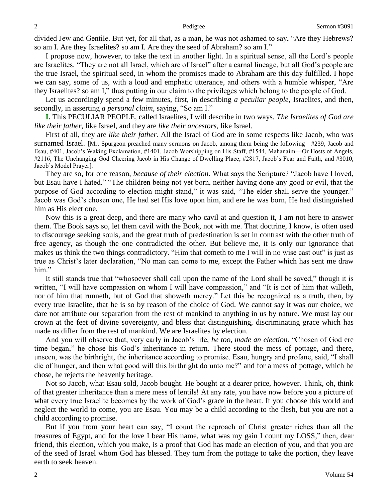divided Jew and Gentile. But yet, for all that, as a man, he was not ashamed to say, "Are they Hebrews? so am I. Are they Israelites? so am I. Are they the seed of Abraham? so am I."

I propose now, however, to take the text in another light. In a spiritual sense, all the Lord's people are Israelites. "They are not all Israel, which are of Israel" after a carnal lineage, but all God's people are the true Israel, the spiritual seed, in whom the promises made to Abraham are this day fulfilled. I hope we can say, some of us, with a loud and emphatic utterance, and others with a humble whisper, "Are they Israelites? so am I," thus putting in our claim to the privileges which belong to the people of God.

Let us accordingly spend a few minutes, first, in describing *a peculiar people,* Israelites, and then, secondly, in asserting *a personal claim,* saying, "So am I."

**I.** This PECULIAR PEOPLE, called Israelites, I will describe in two ways. *The Israelites of God are like their father,* like Israel, and they are *like their ancestors,* like Israel.

First of all, they are *like their father.* All the Israel of God are in some respects like Jacob, who was surnamed Israel. [Mr. Spurgeon preached many sermons on Jacob, among them being the following—#239, Jacob and Esau, #401, Jacob's Waking Exclamation, #1401, Jacob Worshipping on His Staff, #1544, Mahanaim—Or Hosts of Angels, #2116, The Unchanging God Cheering Jacob in His Change of Dwelling Place, #2817, Jacob's Fear and Faith, and #3010, Jacob's Model Prayer]*.*

They are so, for one reason, *because of their election*. What says the Scripture? "Jacob have I loved, but Esau have I hated." "The children being not yet born, neither having done any good or evil, that the purpose of God according to election might stand," it was said, "The elder shall serve the younger." Jacob was God's chosen one, He had set His love upon him, and ere he was born, He had distinguished him as His elect one.

Now this is a great deep, and there are many who cavil at and question it, I am not here to answer them. The Book says so, let them cavil with the Book, not with me. That doctrine, I know, is often used to discourage seeking souls, and the great truth of predestination is set in contrast with the other truth of free agency, as though the one contradicted the other. But believe me, it is only our ignorance that makes us think the two things contradictory. "Him that cometh to me I will in no wise cast out" is just as true as Christ's later declaration, "No man can come to me, except the Father which has sent me draw him."

It still stands true that "whosoever shall call upon the name of the Lord shall be saved," though it is written, "I will have compassion on whom I will have compassion," and "It is not of him that willeth, nor of him that runneth, but of God that showeth mercy." Let this be recognized as a truth, then, by every true Israelite, that he is so by reason of the choice of God. We cannot say it was our choice, we dare not attribute our separation from the rest of mankind to anything in us by nature. We must lay our crown at the feet of divine sovereignty, and bless that distinguishing, discriminating grace which has made us differ from the rest of mankind. We are Israelites by election.

And you will observe that, very early in Jacob's life, *he too, made an election.* "Chosen of God ere time began," he chose his God's inheritance in return. There stood the mess of pottage, and there, unseen, was the birthright, the inheritance according to promise. Esau, hungry and profane, said, "I shall die of hunger, and then what good will this birthright do unto me?" and for a mess of pottage, which he chose, he rejects the heavenly heritage.

Not so Jacob, what Esau sold, Jacob bought. He bought at a dearer price, however. Think, oh, think of that greater inheritance than a mere mess of lentils! At any rate, you have now before you a picture of what every true Israelite becomes by the work of God's grace in the heart. If you choose this world and neglect the world to come, you are Esau. You may be a child according to the flesh, but you are not a child according to promise.

But if you from your heart can say, "I count the reproach of Christ greater riches than all the treasures of Egypt, and for the love I bear His name, what was my gain I count my LOSS," then, dear friend, this election, which you make, is a proof that God has made an election of you, and that you are of the seed of Israel whom God has blessed. They turn from the pottage to take the portion, they leave earth to seek heaven.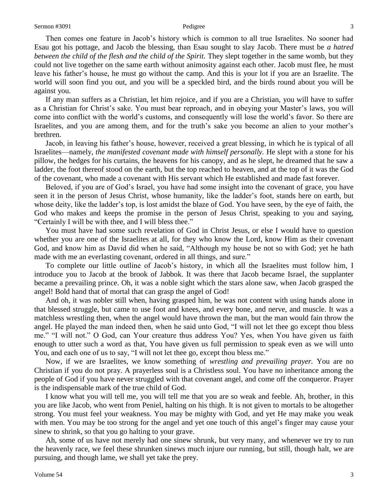Then comes one feature in Jacob's history which is common to all true Israelites. No sooner had Esau got his pottage, and Jacob the blessing, than Esau sought to slay Jacob. There must be *a hatred between the child of the flesh and the child of the Spirit.* They slept together in the same womb, but they could not live together on the same earth without animosity against each other. Jacob must flee, he must leave his father's house, he must go without the camp. And this is your lot if you are an Israelite. The world will soon find you out, and you will be a speckled bird, and the birds round about you will be against you.

If any man suffers as a Christian, let him rejoice, and if you are a Christian, you will have to suffer as a Christian for Christ's sake. You must bear reproach, and in obeying your Master's laws, you will come into conflict with the world's customs, and consequently will lose the world's favor. So there are Israelites, and you are among them, and for the truth's sake you become an alien to your mother's brethren.

Jacob, in leaving his father's house, however, received a great blessing, in which he is typical of all Israelites—namely, *the manifested covenant made with himself personally.* He slept with a stone for his pillow, the hedges for his curtains, the heavens for his canopy, and as he slept, he dreamed that he saw a ladder, the foot thereof stood on the earth, but the top reached to heaven, and at the top of it was the God of the covenant, who made a covenant with His servant which He established and made fast forever.

Beloved, if you are of God's Israel, you have had some insight into the covenant of grace, you have seen it in the person of Jesus Christ, whose humanity, like the ladder's foot, stands here on earth, but whose deity, like the ladder's top, is lost amidst the blaze of God. You have seen, by the eye of faith, the God who makes and keeps the promise in the person of Jesus Christ, speaking to you and saying, "Certainly I will be with thee, and I will bless thee."

You must have had some such revelation of God in Christ Jesus, or else I would have to question whether you are one of the Israelites at all, for they who know the Lord, know Him as their covenant God, and know him as David did when he said, "Although my house be not so with God; yet he hath made with me an everlasting covenant, ordered in all things, and sure."

To complete our little outline of Jacob's history, in which all the Israelites must follow him, I introduce you to Jacob at the brook of Jabbok. It was there that Jacob became Israel, the supplanter became a prevailing prince. Oh, it was a noble sight which the stars alone saw, when Jacob grasped the angel! Bold hand that of mortal that can grasp the angel of God!

And oh, it was nobler still when, having grasped him, he was not content with using hands alone in that blessed struggle, but came to use foot and knees, and every bone, and nerve, and muscle. It was a matchless wrestling then, when the angel would have thrown the man, but the man would fain throw the angel. He played the man indeed then, when he said unto God, "I will not let thee go except thou bless me." "I will not." O God, can Your creature thus address You? Yes, when You have given us faith enough to utter such a word as that, You have given us full permission to speak even as we will unto You, and each one of us to say, "I will not let thee go, except thou bless me."

Now, if we are Israelites, we know something of *wrestling and prevailing prayer.* You are no Christian if you do not pray. A prayerless soul is a Christless soul. You have no inheritance among the people of God if you have never struggled with that covenant angel, and come off the conqueror. Prayer is the indispensable mark of the true child of God.

I know what you will tell me, you will tell me that you are so weak and feeble. Ah, brother, in this you are like Jacob, who went from Peniel, halting on his thigh. It is not given to mortals to be altogether strong. You must feel your weakness. You may be mighty with God, and yet He may make you weak with men. You may be too strong for the angel and yet one touch of this angel's finger may cause your sinew to shrink, so that you go halting to your grave.

Ah, some of us have not merely had one sinew shrunk, but very many, and whenever we try to run the heavenly race, we feel these shrunken sinews much injure our running, but still, though halt, we are pursuing, and though lame, we shall yet take the prey.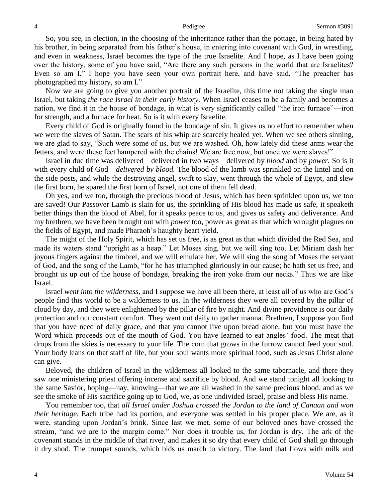So, you see, in election, in the choosing of the inheritance rather than the pottage, in being hated by his brother, in being separated from his father's house, in entering into covenant with God, in wrestling, and even in weakness, Israel becomes the type of the true Israelite. And I hope, as I have been going over the history, some of you have said, "Are there any such persons in the world that are Israelites? Even so am I." I hope you have seen your own portrait here, and have said, "The preacher has photographed my history, so am I."

Now we are going to give you another portrait of the Israelite, this time not taking the single man Israel, but taking *the race Israel in their early history.* When Israel ceases to be a family and becomes a nation, we find it in the house of bondage, in what is very significantly called "the iron furnace"—iron for strength, and a furnace for heat. So is it with every Israelite.

Every child of God is originally found in the bondage of sin. It gives us no effort to remember when we were the slaves of Satan. The scars of his whip are scarcely healed yet. When we see others sinning, we are glad to say, "Such were some of us, but we are washed. Oh, how lately did these arms wear the fetters, and were these feet hampered with the chains! We are free now, but once we were slaves!"

Israel in due time was delivered—delivered in two ways—delivered by *blood* and by *power.* So is it with every child of God—*delivered by blood.* The blood of the lamb was sprinkled on the lintel and on the side posts, and while the destroying angel, swift to slay, went through the whole of Egypt, and slew the first born, he spared the first born of Israel, not one of them fell dead.

Oh yes, and we too, through the precious blood of Jesus, which has been sprinkled upon us, we too are saved! Our Passover Lamb is slain for us, the sprinkling of His blood has made us safe, it speaketh better things than the blood of Abel, for it speaks peace to us, and gives us safety and deliverance. And my brethren, we have been brought out with *power* too, power as great as that which wrought plagues on the fields of Egypt, and made Pharaoh's haughty heart yield.

The might of the Holy Spirit, which has set us free, is as great as that which divided the Red Sea, and made its waters stand "upright as a heap." Let Moses sing, but we will sing too. Let Miriam dash her joyous fingers against the timbrel, and we will emulate her. We will sing the song of Moses the servant of God, and the song of the Lamb, "for he has triumphed gloriously in our cause; he hath set us free, and brought us up out of the house of bondage, breaking the iron yoke from our necks." Thus we are like Israel.

Israel *went into the wilderness,* and I suppose we have all been there, at least all of us who are God's people find this world to be a wilderness to us. In the wilderness they were all covered by the pillar of cloud by day, and they were enlightened by the pillar of fire by night. And divine providence is our daily protection and our constant comfort. They went out daily to gather manna. Brethren, I suppose you find that you have need of daily grace, and that you cannot live upon bread alone, but you must have the Word which proceeds out of the mouth of God. You have learned to eat angles' food. The meat that drops from the skies is necessary to your life. The corn that grows in the furrow cannot feed your soul. Your body leans on that staff of life, but your soul wants more spiritual food, such as Jesus Christ alone can give.

Beloved, the children of Israel in the wilderness all looked to the same tabernacle, and there they saw one ministering priest offering incense and sacrifice by blood. And we stand tonight all looking to the same Savior, hoping—nay, knowing—that we are all washed in the same precious blood, and as we see the smoke of His sacrifice going up to God, we, as one undivided Israel, praise and bless His name.

You remember too, that *all Israel under Joshua crossed the Jordan to the land of Canaan and won their heritage.* Each tribe had its portion, and everyone was settled in his proper place. We are, as it were, standing upon Jordan's brink. Since last we met, some of our beloved ones have crossed the stream, "and we are to the margin come." Nor does it trouble us, for Jordan is dry. The ark of the covenant stands in the middle of that river, and makes it so dry that every child of God shall go through it dry shod. The trumpet sounds, which bids us march to victory. The land that flows with milk and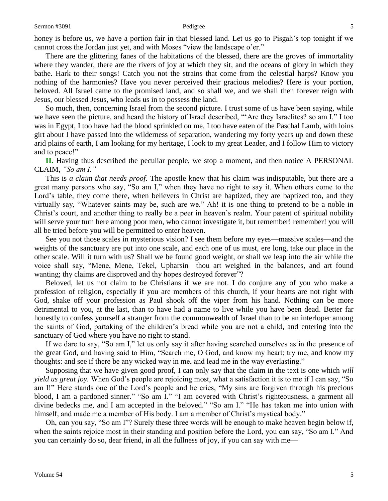honey is before us, we have a portion fair in that blessed land. Let us go to Pisgah's top tonight if we cannot cross the Jordan just yet, and with Moses "view the landscape o'er."

There are the glittering fanes of the habitations of the blessed, there are the groves of immortality where they wander, there are the rivers of joy at which they sit, and the oceans of glory in which they bathe. Hark to their songs! Catch you not the strains that come from the celestial harps? Know you nothing of the harmonies? Have you never perceived their gracious melodies? Here is your portion, beloved. All Israel came to the promised land, and so shall we, and we shall then forever reign with Jesus, our blessed Jesus, who leads us in to possess the land.

So much, then, concerning Israel from the second picture. I trust some of us have been saying, while we have seen the picture, and heard the history of Israel described, "'Are they Israelites? so am I." I too was in Egypt, I too have had the blood sprinkled on me, I too have eaten of the Paschal Lamb, with loins girt about I have passed into the wilderness of separation, wandering my forty years up and down these arid plains of earth, I am looking for my heritage, I look to my great Leader, and I follow Him to victory and to peace!"

**II.** Having thus described the peculiar people, we stop a moment, and then notice A PERSONAL CLAIM, *"So am I."* 

This is *a claim that needs proof.* The apostle knew that his claim was indisputable, but there are a great many persons who say, "So am I," when they have no right to say it. When others come to the Lord's table, they come there, when believers in Christ are baptized, they are baptized too, and they virtually say, "Whatever saints may be, such are we." Ah! it is one thing to pretend to be a noble in Christ's court, and another thing to really be a peer in heaven's realm. Your patent of spiritual nobility will serve your turn here among poor men, who cannot investigate it, but remember! remember! you will all be tried before you will be permitted to enter heaven.

See you not those scales in mysterious vision? I see them before my eyes—massive scales—and the weights of the sanctuary are put into one scale, and each one of us must, ere long, take our place in the other scale. Will it turn with us? Shall we be found good weight, or shall we leap into the air while the voice shall say, "Mene, Mene, Tekel, Upharsin—thou art weighed in the balances, and art found wanting; thy claims are disproved and thy hopes destroyed forever.<sup>37</sup>?

Beloved, let us not claim to be Christians if we are not. I do conjure any of you who make a profession of religion, especially if you are members of this church, if your hearts are not right with God, shake off your profession as Paul shook off the viper from his hand. Nothing can be more detrimental to you, at the last, than to have had a name to live while you have been dead. Better far honestly to confess yourself a stranger from the commonwealth of Israel than to be an interloper among the saints of God, partaking of the children's bread while you are not a child, and entering into the sanctuary of God where you have no right to stand.

If we dare to say, "So am I," let us only say it after having searched ourselves as in the presence of the great God, and having said to Him, "Search me, O God, and know my heart; try me, and know my thoughts: and see if there be any wicked way in me, and lead me in the way everlasting."

Supposing that we have given good proof, I can only say that the claim in the text is one which *will yield us great joy.* When God's people are rejoicing most, what a satisfaction it is to me if I can say, "So am I!" Here stands one of the Lord's people and he cries, "My sins are forgiven through his precious blood, I am a pardoned sinner." "So am I." "I am covered with Christ's righteousness, a garment all divine bedecks me, and I am accepted in the beloved." "So am I." "He has taken me into union with himself, and made me a member of His body. I am a member of Christ's mystical body."

Oh, can you say, "So am I"? Surely these three words will be enough to make heaven begin below if, when the saints rejoice most in their standing and position before the Lord, you can say, "So am I." And you can certainly do so, dear friend, in all the fullness of joy, if you can say with me—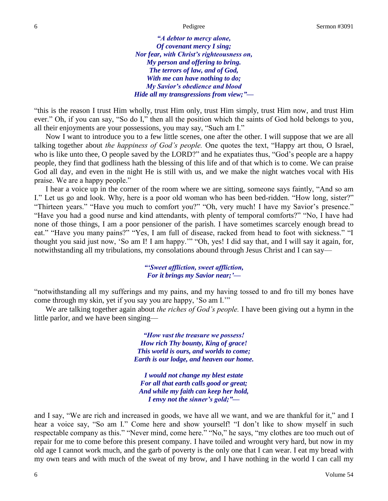*"A debtor to mercy alone, Of covenant mercy I sing; Nor fear, with Christ's righteousness on, My person and offering to bring. The terrors of law, and of God, With me can have nothing to do; My Savior's obedience and blood Hide all my transgressions from view;"—*

"this is the reason I trust Him wholly, trust Him only, trust Him simply, trust Him now, and trust Him ever." Oh, if you can say, "So do I," then all the position which the saints of God hold belongs to you, all their enjoyments are your possessions, you may say, "Such am I."

Now I want to introduce you to a few little scenes, one after the other. I will suppose that we are all talking together about *the happiness of God's people.* One quotes the text, "Happy art thou, O Israel, who is like unto thee, O people saved by the LORD?" and he expatiates thus, "God's people are a happy people, they find that godliness hath the blessing of this life and of that which is to come. We can praise God all day, and even in the night He is still with us, and we make the night watches vocal with His praise. We are a happy people."

I hear a voice up in the corner of the room where we are sitting, someone says faintly, "And so am I." Let us go and look. Why, here is a poor old woman who has been bed-ridden. "How long, sister?" "Thirteen years." "Have you much to comfort you?" "Oh, very much! I have my Savior's presence." "Have you had a good nurse and kind attendants, with plenty of temporal comforts?" "No, I have had none of those things, I am a poor pensioner of the parish. I have sometimes scarcely enough bread to eat." "Have you many pains?" "Yes, I am full of disease, racked from head to foot with sickness." "I thought you said just now, 'So am I! I am happy.'" "Oh, yes! I did say that, and I will say it again, for, notwithstanding all my tribulations, my consolations abound through Jesus Christ and I can say—

> *"'Sweet affliction, sweet affliction, For it brings my Savior near;'—*

"notwithstanding all my sufferings and my pains, and my having tossed to and fro till my bones have come through my skin, yet if you say you are happy, 'So am I.'"

We are talking together again about *the riches of God's people.* I have been giving out a hymn in the little parlor, and we have been singing—

> *"How vast the treasure we possess! How rich Thy bounty, King of grace! This world is ours, and worlds to come; Earth is our lodge, and heaven our home.*

*I would not change my blest estate For all that earth calls good or great; And while my faith can keep her hold, I envy not the sinner's gold;"—*

and I say, "We are rich and increased in goods, we have all we want, and we are thankful for it," and I hear a voice say, "So am I." Come here and show yourself! "I don't like to show myself in such respectable company as this." "Never mind, come here." "No," he says, "my clothes are too much out of repair for me to come before this present company. I have toiled and wrought very hard, but now in my old age I cannot work much, and the garb of poverty is the only one that I can wear. I eat my bread with my own tears and with much of the sweat of my brow, and I have nothing in the world I can call my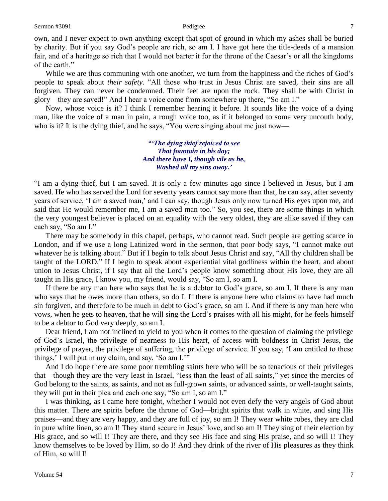own, and I never expect to own anything except that spot of ground in which my ashes shall be buried by charity. But if you say God's people are rich, so am I. I have got here the title-deeds of a mansion fair, and of a heritage so rich that I would not barter it for the throne of the Caesar's or all the kingdoms of the earth."

While we are thus communing with one another, we turn from the happiness and the riches of God's people to speak about *their safety.* "All those who trust in Jesus Christ are saved, their sins are all forgiven. They can never be condemned. Their feet are upon the rock. They shall be with Christ in glory—they are saved!" And I hear a voice come from somewhere up there, "So am I."

Now, whose voice is it? I think I remember hearing it before. It sounds like the voice of a dying man, like the voice of a man in pain, a rough voice too, as if it belonged to some very uncouth body, who is it? It is the dying thief, and he says, "You were singing about me just now—

> *"'The dying thief rejoiced to see That fountain in his day; And there have I, though vile as he, Washed all my sins away.'*

"I am a dying thief, but I am saved. It is only a few minutes ago since I believed in Jesus, but I am saved. He who has served the Lord for seventy years cannot say more than that, he can say, after seventy years of service, 'I am a saved man,' and I can say, though Jesus only now turned His eyes upon me, and said that He would remember me, I am a saved man too." So, you see, there are some things in which the very youngest believer is placed on an equality with the very oldest, they are alike saved if they can each say, "So am I."

There may be somebody in this chapel, perhaps, who cannot read. Such people are getting scarce in London, and if we use a long Latinized word in the sermon, that poor body says, "I cannot make out whatever he is talking about." But if I begin to talk about Jesus Christ and say, "All thy children shall be taught of the LORD," If I begin to speak about experiential vital godliness within the heart, and about union to Jesus Christ, if I say that all the Lord's people know something about His love, they are all taught in His grace, I know you, my friend, would say, "So am I, so am I.

If there be any man here who says that he is a debtor to God's grace, so am I. If there is any man who says that he owes more than others, so do I. If there is anyone here who claims to have had much sin forgiven, and therefore to be much in debt to God's grace, so am I. And if there is any man here who vows, when he gets to heaven, that he will sing the Lord's praises with all his might, for he feels himself to be a debtor to God very deeply, so am I.

Dear friend, I am not inclined to yield to you when it comes to the question of claiming the privilege of God's Israel, the privilege of nearness to His heart, of access with boldness in Christ Jesus, the privilege of prayer, the privilege of suffering, the privilege of service. If you say, 'I am entitled to these things,' I will put in my claim, and say, 'So am I.'"

And I do hope there are some poor trembling saints here who will be so tenacious of their privileges that—though they are the very least in Israel, "less than the least of all saints," yet since the mercies of God belong to the saints, as saints, and not as full-grown saints, or advanced saints, or well-taught saints, they will put in their plea and each one say, "So am I, so am I."

I was thinking, as I came here tonight, whether I would not even defy the very angels of God about this matter. There are spirits before the throne of God—bright spirits that walk in white, and sing His praises—and they are very happy, and they are full of joy, so am I! They wear white robes, they are clad in pure white linen, so am I! They stand secure in Jesus' love, and so am I! They sing of their election by His grace, and so will I! They are there, and they see His face and sing His praise, and so will I! They know themselves to be loved by Him, so do I! And they drink of the river of His pleasures as they think of Him, so will I!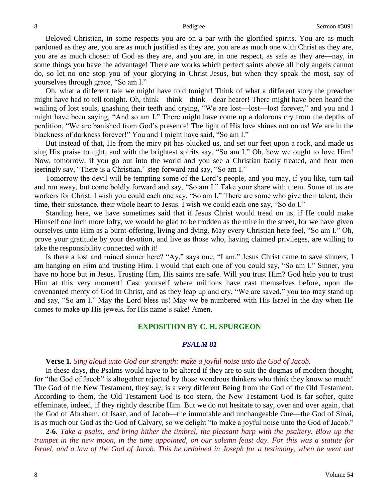Beloved Christian, in some respects you are on a par with the glorified spirits. You are as much pardoned as they are, you are as much justified as they are, you are as much one with Christ as they are, you are as much chosen of God as they are, and you are, in one respect, as safe as they are—nay, in some things you have the advantage! There are works which perfect saints above all holy angels cannot do, so let no one stop you of your glorying in Christ Jesus, but when they speak the most, say of yourselves through grace, "So am I."

Oh, what a different tale we might have told tonight! Think of what a different story the preacher might have had to tell tonight. Oh, think—think—think—dear hearer! There might have been heard the wailing of lost souls, gnashing their teeth and crying, "We are lost—lost—lost forever," and you and I might have been saying, "And so am I." There might have come up a dolorous cry from the depths of perdition, "We are banished from God's presence! The light of His love shines not on us! We are in the blackness of darkness forever!" You and I might have said, "So am I."

But instead of that, He from the miry pit has plucked us, and set our feet upon a rock, and made us sing His praise tonight, and with the brightest spirits say, "So am I." Oh, how we ought to love Him! Now, tomorrow, if you go out into the world and you see a Christian badly treated, and hear men jeeringly say, "There is a Christian," step forward and say, "So am I."

Tomorrow the devil will be tempting some of the Lord's people, and you may, if you like, turn tail and run away, but come boldly forward and say, "So am I." Take your share with them. Some of us are workers for Christ. I wish you could each one say, "So am I." There are some who give their talent, their time, their substance, their whole heart to Jesus. I wish we could each one say, "So do I."

Standing here, we have sometimes said that if Jesus Christ would tread on us, if He could make Himself one inch more lofty, we would be glad to be trodden as the mire in the street, for we have given ourselves unto Him as a burnt-offering, living and dying. May every Christian here feel, "So am I." Oh, prove your gratitude by your devotion, and live as those who, having claimed privileges, are willing to take the responsibility connected with it!

Is there a lost and ruined sinner here? "Ay," says one, "I am." Jesus Christ came to save sinners, I am hanging on Him and trusting Him. I would that each one of you could say, "So am I." Sinner, you have no hope but in Jesus. Trusting Him, His saints are safe. Will you trust Him? God help you to trust Him at this very moment! Cast yourself where millions have cast themselves before, upon the covenanted mercy of God in Christ, and as they leap up and cry, "We are saved," you too may stand up and say, "So am I." May the Lord bless us! May we be numbered with His Israel in the day when He comes to make up His jewels, for His name's sake! Amen.

### **EXPOSITION BY C. H. SPURGEON**

### *PSALM 81*

### **Verse 1.** *Sing aloud unto God our strength: make a joyful noise unto the God of Jacob.*

In these days, the Psalms would have to be altered if they are to suit the dogmas of modern thought, for "the God of Jacob" is altogether rejected by those wondrous thinkers who think they know so much! The God of the New Testament, they say, is a very different Being from the God of the Old Testament. According to them, the Old Testament God is too stern, the New Testament God is far softer, quite effeminate, indeed, if they rightly describe Him. But we do not hesitate to say, over and over again, that the God of Abraham, of Isaac, and of Jacob—the immutable and unchangeable One—the God of Sinai, is as much our God as the God of Calvary, so we delight "to make a joyful noise unto the God of Jacob."

**2-6.** *Take a psalm, and bring hither the timbrel, the pleasant harp with the psaltery. Blow up the trumpet in the new moon, in the time appointed, on our solemn feast day. For this was a statute for Israel, and a law of the God of Jacob. This he ordained in Joseph for a testimony, when he went out*